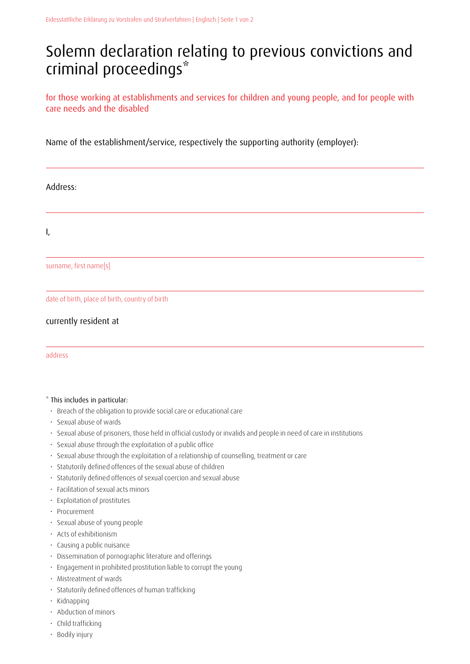## Solemn declaration relating to previous convictions and criminal proceedings\*

for those working at establishments and services for children and young people, and for people with care needs and the disabled

Name of the establishment/service, respectively the supporting authority (employer):

Address:

I,

surname, first name[s]

date of birth, place of birth, country of birth

## currently resident at

address

## \* This includes in particular:

- Breach of the obligation to provide social care or educational care
- Sexual abuse of wards
- Sexual abuse of prisoners, those held in official custody or invalids and people in need of care in institutions
- Sexual abuse through the exploitation of a public office
- Sexual abuse through the exploitation of a relationship of counselling, treatment or care
- Statutorily defined offences of the sexual abuse of children
- Statutorily defined offences of sexual coercion and sexual abuse
- Facilitation of sexual acts minors
- Exploitation of prostitutes
- Procurement
- Sexual abuse of young people
- Acts of exhibitionism
- Causing a public nuisance
- Dissemination of pornographic literature and offerings
- Engagement in prohibited prostitution liable to corrupt the young
- Mistreatment of wards
- Statutorily defined offences of human trafficking
- Kidnapping
- Abduction of minors
- Child trafficking
- Bodily injury